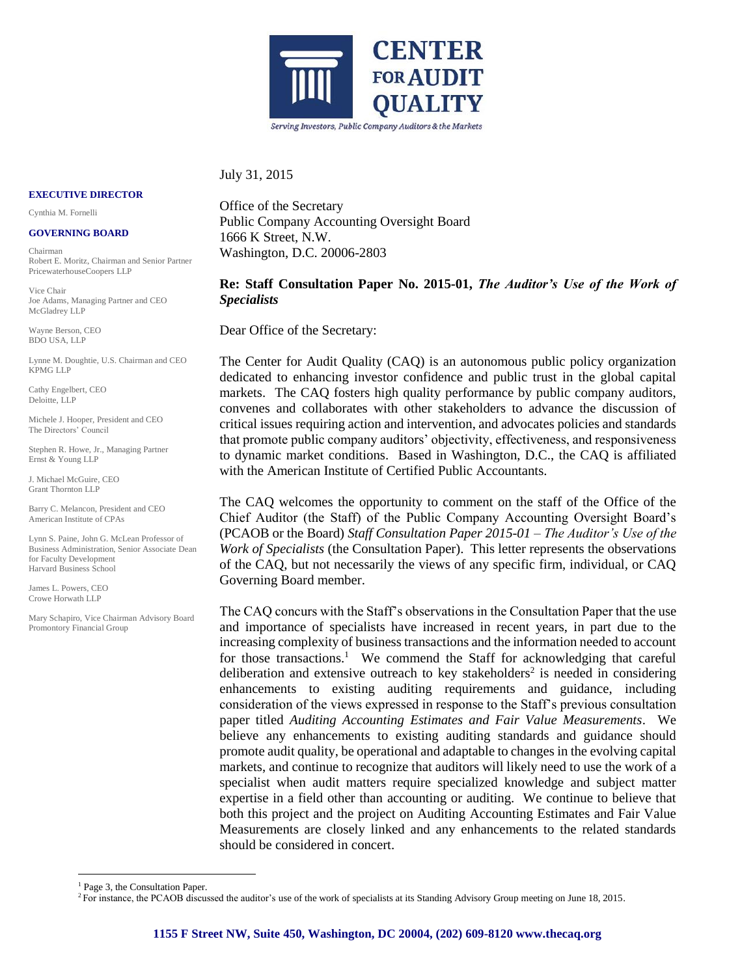

#### July 31, 2015

**EXECUTIVE DIRECTOR**

Cynthia M. Fornelli

#### **GOVERNING BOARD**

Chairman Robert E. Moritz, Chairman and Senior Partner PricewaterhouseCoopers LLP

Vice Chair Joe Adams, Managing Partner and CEO McGladrey LLP

Wayne Berson, CEO BDO USA, LLP

Lynne M. Doughtie, U.S. Chairman and CEO KPMG LLP

Cathy Engelbert, CEO Deloitte, LLP

Michele J. Hooper, President and CEO The Directors' Council

Stephen R. Howe, Jr., Managing Partner Ernst & Young LLP

J. Michael McGuire, CEO Grant Thornton LLP

Barry C. Melancon, President and CEO American Institute of CPAs

Lynn S. Paine, John G. McLean Professor of Business Administration, Senior Associate Dean for Faculty Development Harvard Business School

James L. Powers, CEO Crowe Horwath LLP

1

Mary Schapiro, Vice Chairman Advisory Board Promontory Financial Group

Office of the Secretary Public Company Accounting Oversight Board 1666 K Street, N.W. Washington, D.C. 20006-2803

# **Re: Staff Consultation Paper No. 2015-01,** *The Auditor's Use of the Work of Specialists*

Dear Office of the Secretary:

The Center for Audit Quality (CAQ) is an autonomous public policy organization dedicated to enhancing investor confidence and public trust in the global capital markets. The CAQ fosters high quality performance by public company auditors, convenes and collaborates with other stakeholders to advance the discussion of critical issues requiring action and intervention, and advocates policies and standards that promote public company auditors' objectivity, effectiveness, and responsiveness to dynamic market conditions. Based in Washington, D.C., the CAQ is affiliated with the American Institute of Certified Public Accountants.

The CAQ welcomes the opportunity to comment on the staff of the Office of the Chief Auditor (the Staff) of the Public Company Accounting Oversight Board's (PCAOB or the Board) *Staff Consultation Paper 2015-01 – The Auditor's Use of the Work of Specialists* (the Consultation Paper). This letter represents the observations of the CAQ, but not necessarily the views of any specific firm, individual, or CAQ Governing Board member.

The CAQ concurs with the Staff's observations in the Consultation Paper that the use and importance of specialists have increased in recent years, in part due to the increasing complexity of business transactions and the information needed to account for those transactions.<sup>1</sup> We commend the Staff for acknowledging that careful deliberation and extensive outreach to key stakeholders<sup>2</sup> is needed in considering enhancements to existing auditing requirements and guidance, including consideration of the views expressed in response to the Staff's previous consultation paper titled *Auditing Accounting Estimates and Fair Value Measurements*. We believe any enhancements to existing auditing standards and guidance should promote audit quality, be operational and adaptable to changes in the evolving capital markets, and continue to recognize that auditors will likely need to use the work of a specialist when audit matters require specialized knowledge and subject matter expertise in a field other than accounting or auditing. We continue to believe that both this project and the project on Auditing Accounting Estimates and Fair Value Measurements are closely linked and any enhancements to the related standards should be considered in concert.

<sup>&</sup>lt;sup>1</sup> Page 3, the Consultation Paper.

 ${}^{2}$  For instance, the PCAOB discussed the auditor's use of the work of specialists at its Standing Advisory Group meeting on June 18, 2015.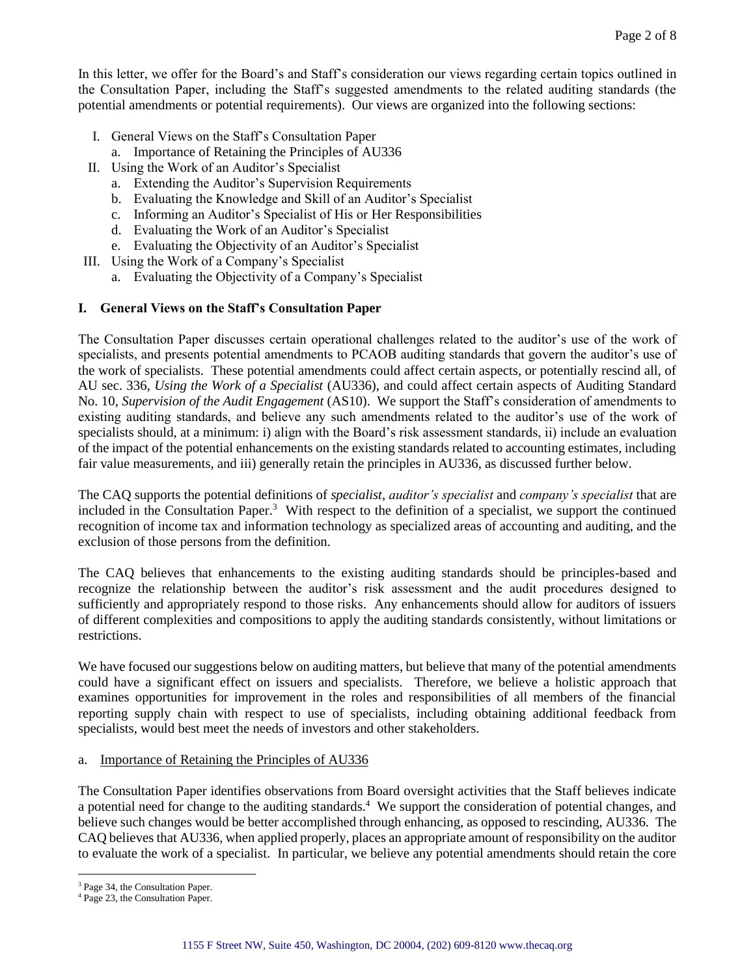In this letter, we offer for the Board's and Staff's consideration our views regarding certain topics outlined in the Consultation Paper, including the Staff's suggested amendments to the related auditing standards (the potential amendments or potential requirements). Our views are organized into the following sections:

- I. General Views on the Staff's Consultation Paper
	- a. Importance of Retaining the Principles of AU336
- II. Using the Work of an Auditor's Specialist
	- a. Extending the Auditor's Supervision Requirements
	- b. Evaluating the Knowledge and Skill of an Auditor's Specialist
	- c. Informing an Auditor's Specialist of His or Her Responsibilities
	- d. Evaluating the Work of an Auditor's Specialist
	- e. Evaluating the Objectivity of an Auditor's Specialist
- III. Using the Work of a Company's Specialist
	- a. Evaluating the Objectivity of a Company's Specialist

# **I. General Views on the Staff's Consultation Paper**

The Consultation Paper discusses certain operational challenges related to the auditor's use of the work of specialists, and presents potential amendments to PCAOB auditing standards that govern the auditor's use of the work of specialists. These potential amendments could affect certain aspects, or potentially rescind all, of AU sec. 336, *Using the Work of a Specialist* (AU336), and could affect certain aspects of Auditing Standard No. 10, *Supervision of the Audit Engagement* (AS10). We support the Staff's consideration of amendments to existing auditing standards, and believe any such amendments related to the auditor's use of the work of specialists should, at a minimum: i) align with the Board's risk assessment standards, ii) include an evaluation of the impact of the potential enhancements on the existing standards related to accounting estimates, including fair value measurements, and iii) generally retain the principles in AU336, as discussed further below.

The CAQ supports the potential definitions of *specialist*, *auditor's specialist* and *company's specialist* that are included in the Consultation Paper.<sup>3</sup> With respect to the definition of a specialist, we support the continued recognition of income tax and information technology as specialized areas of accounting and auditing, and the exclusion of those persons from the definition.

The CAQ believes that enhancements to the existing auditing standards should be principles-based and recognize the relationship between the auditor's risk assessment and the audit procedures designed to sufficiently and appropriately respond to those risks. Any enhancements should allow for auditors of issuers of different complexities and compositions to apply the auditing standards consistently, without limitations or restrictions.

We have focused our suggestions below on auditing matters, but believe that many of the potential amendments could have a significant effect on issuers and specialists. Therefore, we believe a holistic approach that examines opportunities for improvement in the roles and responsibilities of all members of the financial reporting supply chain with respect to use of specialists, including obtaining additional feedback from specialists, would best meet the needs of investors and other stakeholders.

# a. Importance of Retaining the Principles of AU336

The Consultation Paper identifies observations from Board oversight activities that the Staff believes indicate a potential need for change to the auditing standards.<sup>4</sup> We support the consideration of potential changes, and believe such changes would be better accomplished through enhancing, as opposed to rescinding, AU336. The CAQ believes that AU336, when applied properly, places an appropriate amount of responsibility on the auditor to evaluate the work of a specialist. In particular, we believe any potential amendments should retain the core

1

<sup>3</sup> Page 34, the Consultation Paper.

<sup>4</sup> Page 23, the Consultation Paper.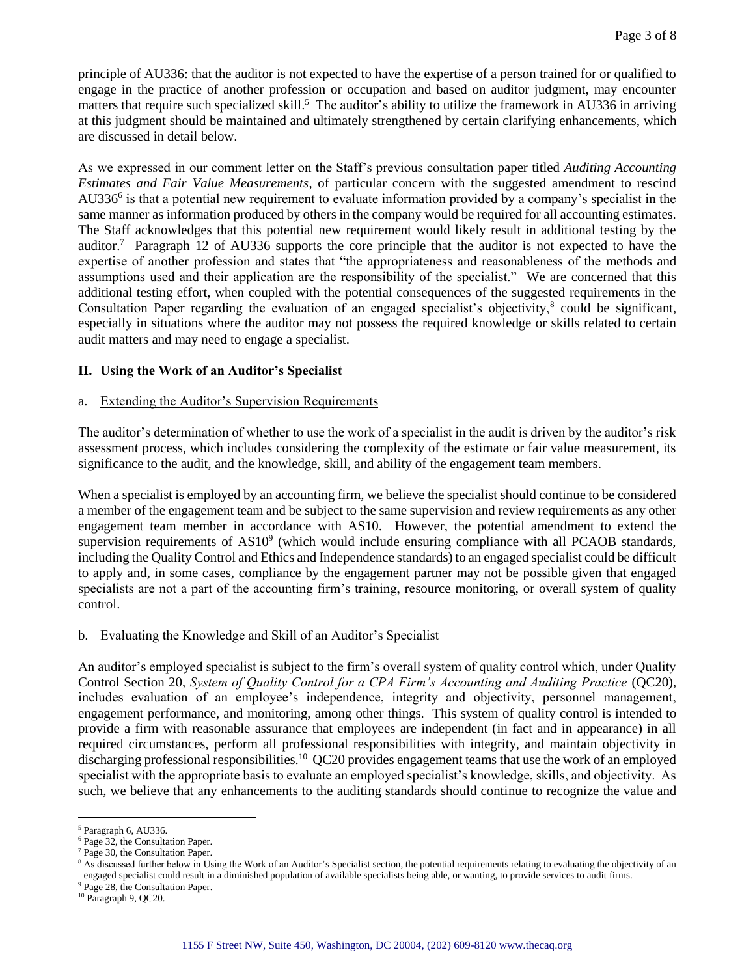principle of AU336: that the auditor is not expected to have the expertise of a person trained for or qualified to engage in the practice of another profession or occupation and based on auditor judgment, may encounter matters that require such specialized skill.<sup>5</sup> The auditor's ability to utilize the framework in AU336 in arriving at this judgment should be maintained and ultimately strengthened by certain clarifying enhancements, which are discussed in detail below.

As we expressed in our comment letter on the Staff's previous consultation paper titled *Auditing Accounting Estimates and Fair Value Measurements*, of particular concern with the suggested amendment to rescind AU336<sup>6</sup> is that a potential new requirement to evaluate information provided by a company's specialist in the same manner as information produced by others in the company would be required for all accounting estimates. The Staff acknowledges that this potential new requirement would likely result in additional testing by the auditor.<sup>7</sup> Paragraph 12 of AU336 supports the core principle that the auditor is not expected to have the expertise of another profession and states that "the appropriateness and reasonableness of the methods and assumptions used and their application are the responsibility of the specialist." We are concerned that this additional testing effort, when coupled with the potential consequences of the suggested requirements in the Consultation Paper regarding the evaluation of an engaged specialist's objectivity, $8$  could be significant, especially in situations where the auditor may not possess the required knowledge or skills related to certain audit matters and may need to engage a specialist.

#### **II. Using the Work of an Auditor's Specialist**

#### a. Extending the Auditor's Supervision Requirements

The auditor's determination of whether to use the work of a specialist in the audit is driven by the auditor's risk assessment process, which includes considering the complexity of the estimate or fair value measurement, its significance to the audit, and the knowledge, skill, and ability of the engagement team members.

When a specialist is employed by an accounting firm, we believe the specialist should continue to be considered a member of the engagement team and be subject to the same supervision and review requirements as any other engagement team member in accordance with AS10. However, the potential amendment to extend the supervision requirements of  $AS10<sup>9</sup>$  (which would include ensuring compliance with all PCAOB standards, including the Quality Control and Ethics and Independence standards) to an engaged specialist could be difficult to apply and, in some cases, compliance by the engagement partner may not be possible given that engaged specialists are not a part of the accounting firm's training, resource monitoring, or overall system of quality control.

#### b. Evaluating the Knowledge and Skill of an Auditor's Specialist

An auditor's employed specialist is subject to the firm's overall system of quality control which, under Quality Control Section 20, *System of Quality Control for a CPA Firm's Accounting and Auditing Practice* (QC20), includes evaluation of an employee's independence, integrity and objectivity, personnel management, engagement performance, and monitoring, among other things. This system of quality control is intended to provide a firm with reasonable assurance that employees are independent (in fact and in appearance) in all required circumstances, perform all professional responsibilities with integrity, and maintain objectivity in discharging professional responsibilities.<sup>10</sup> QC20 provides engagement teams that use the work of an employed specialist with the appropriate basis to evaluate an employed specialist's knowledge, skills, and objectivity. As such, we believe that any enhancements to the auditing standards should continue to recognize the value and

1

<sup>9</sup> Page 28, the Consultation Paper.

<sup>5</sup> Paragraph 6, AU336.

<sup>6</sup> Page 32, the Consultation Paper.

Page 30, the Consultation Paper.

<sup>&</sup>lt;sup>8</sup> As discussed further below in Using the Work of an Auditor's Specialist section, the potential requirements relating to evaluating the objectivity of an engaged specialist could result in a diminished population of available specialists being able, or wanting, to provide services to audit firms.

<sup>10</sup> Paragraph 9, QC20.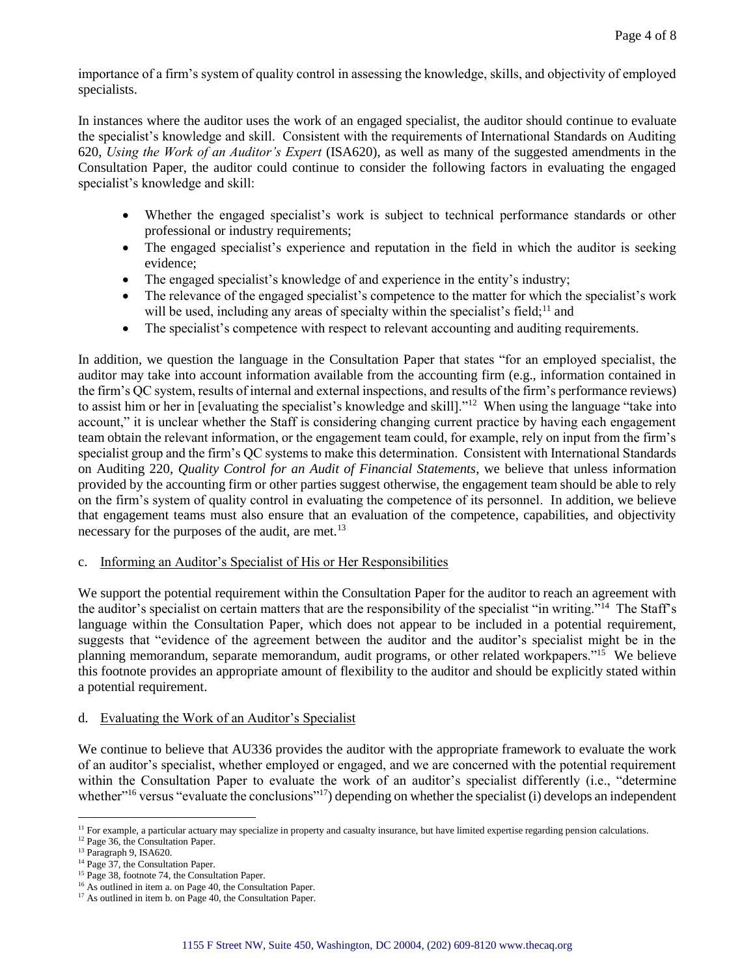importance of a firm's system of quality control in assessing the knowledge, skills, and objectivity of employed specialists.

In instances where the auditor uses the work of an engaged specialist, the auditor should continue to evaluate the specialist's knowledge and skill. Consistent with the requirements of International Standards on Auditing 620, *Using the Work of an Auditor's Expert* (ISA620), as well as many of the suggested amendments in the Consultation Paper, the auditor could continue to consider the following factors in evaluating the engaged specialist's knowledge and skill:

- Whether the engaged specialist's work is subject to technical performance standards or other professional or industry requirements;
- The engaged specialist's experience and reputation in the field in which the auditor is seeking evidence;
- The engaged specialist's knowledge of and experience in the entity's industry;
- The relevance of the engaged specialist's competence to the matter for which the specialist's work will be used, including any areas of specialty within the specialist's field;<sup>11</sup> and
- The specialist's competence with respect to relevant accounting and auditing requirements.

In addition, we question the language in the Consultation Paper that states "for an employed specialist, the auditor may take into account information available from the accounting firm (e.g., information contained in the firm's QC system, results of internal and external inspections, and results of the firm's performance reviews) to assist him or her in [evaluating the specialist's knowledge and skill]."<sup>12</sup> When using the language "take into account," it is unclear whether the Staff is considering changing current practice by having each engagement team obtain the relevant information, or the engagement team could, for example, rely on input from the firm's specialist group and the firm's QC systems to make this determination. Consistent with International Standards on Auditing 220, *Quality Control for an Audit of Financial Statements*, we believe that unless information provided by the accounting firm or other parties suggest otherwise, the engagement team should be able to rely on the firm's system of quality control in evaluating the competence of its personnel. In addition, we believe that engagement teams must also ensure that an evaluation of the competence, capabilities, and objectivity necessary for the purposes of the audit, are met. $^{13}$ 

c. Informing an Auditor's Specialist of His or Her Responsibilities

We support the potential requirement within the Consultation Paper for the auditor to reach an agreement with the auditor's specialist on certain matters that are the responsibility of the specialist "in writing."<sup>14</sup> The Staff's language within the Consultation Paper, which does not appear to be included in a potential requirement, suggests that "evidence of the agreement between the auditor and the auditor's specialist might be in the planning memorandum, separate memorandum, audit programs, or other related workpapers."<sup>15</sup> We believe this footnote provides an appropriate amount of flexibility to the auditor and should be explicitly stated within a potential requirement.

# d. Evaluating the Work of an Auditor's Specialist

We continue to believe that AU336 provides the auditor with the appropriate framework to evaluate the work of an auditor's specialist, whether employed or engaged, and we are concerned with the potential requirement within the Consultation Paper to evaluate the work of an auditor's specialist differently (i.e., "determine") whether<sup>"16</sup> versus "evaluate the conclusions"<sup>17</sup>) depending on whether the specialist (i) develops an independent

1 <sup>11</sup> For example, a particular actuary may specialize in property and casualty insurance, but have limited expertise regarding pension calculations.

<sup>12</sup> Page 36, the Consultation Paper.

<sup>13</sup> Paragraph 9, ISA620.

<sup>&</sup>lt;sup>14</sup> Page 37, the Consultation Paper.

<sup>&</sup>lt;sup>15</sup> Page 38, footnote 74, the Consultation Paper.

<sup>&</sup>lt;sup>16</sup> As outlined in item a. on Page 40, the Consultation Paper.

<sup>&</sup>lt;sup>17</sup> As outlined in item b. on Page 40, the Consultation Paper.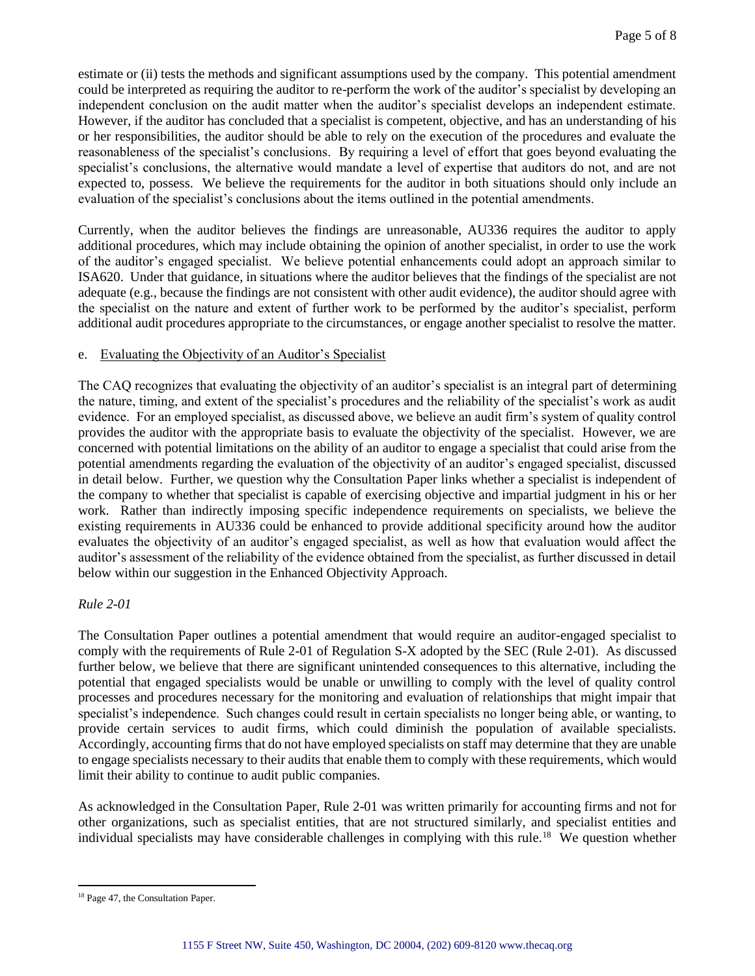estimate or (ii) tests the methods and significant assumptions used by the company. This potential amendment could be interpreted as requiring the auditor to re-perform the work of the auditor's specialist by developing an independent conclusion on the audit matter when the auditor's specialist develops an independent estimate. However, if the auditor has concluded that a specialist is competent, objective, and has an understanding of his or her responsibilities, the auditor should be able to rely on the execution of the procedures and evaluate the reasonableness of the specialist's conclusions. By requiring a level of effort that goes beyond evaluating the specialist's conclusions, the alternative would mandate a level of expertise that auditors do not, and are not expected to, possess. We believe the requirements for the auditor in both situations should only include an evaluation of the specialist's conclusions about the items outlined in the potential amendments.

Currently, when the auditor believes the findings are unreasonable, AU336 requires the auditor to apply additional procedures, which may include obtaining the opinion of another specialist, in order to use the work of the auditor's engaged specialist. We believe potential enhancements could adopt an approach similar to ISA620. Under that guidance, in situations where the auditor believes that the findings of the specialist are not adequate (e.g., because the findings are not consistent with other audit evidence), the auditor should agree with the specialist on the nature and extent of further work to be performed by the auditor's specialist, perform additional audit procedures appropriate to the circumstances, or engage another specialist to resolve the matter.

# e. Evaluating the Objectivity of an Auditor's Specialist

The CAQ recognizes that evaluating the objectivity of an auditor's specialist is an integral part of determining the nature, timing, and extent of the specialist's procedures and the reliability of the specialist's work as audit evidence. For an employed specialist, as discussed above, we believe an audit firm's system of quality control provides the auditor with the appropriate basis to evaluate the objectivity of the specialist. However, we are concerned with potential limitations on the ability of an auditor to engage a specialist that could arise from the potential amendments regarding the evaluation of the objectivity of an auditor's engaged specialist, discussed in detail below. Further, we question why the Consultation Paper links whether a specialist is independent of the company to whether that specialist is capable of exercising objective and impartial judgment in his or her work. Rather than indirectly imposing specific independence requirements on specialists, we believe the existing requirements in AU336 could be enhanced to provide additional specificity around how the auditor evaluates the objectivity of an auditor's engaged specialist, as well as how that evaluation would affect the auditor's assessment of the reliability of the evidence obtained from the specialist, as further discussed in detail below within our suggestion in the Enhanced Objectivity Approach.

# *Rule 2-01*

The Consultation Paper outlines a potential amendment that would require an auditor-engaged specialist to comply with the requirements of Rule 2-01 of Regulation S-X adopted by the SEC (Rule 2-01). As discussed further below, we believe that there are significant unintended consequences to this alternative, including the potential that engaged specialists would be unable or unwilling to comply with the level of quality control processes and procedures necessary for the monitoring and evaluation of relationships that might impair that specialist's independence. Such changes could result in certain specialists no longer being able, or wanting, to provide certain services to audit firms, which could diminish the population of available specialists. Accordingly, accounting firms that do not have employed specialists on staff may determine that they are unable to engage specialists necessary to their audits that enable them to comply with these requirements, which would limit their ability to continue to audit public companies.

As acknowledged in the Consultation Paper, Rule 2-01 was written primarily for accounting firms and not for other organizations, such as specialist entities, that are not structured similarly, and specialist entities and individual specialists may have considerable challenges in complying with this rule.<sup>18</sup> We question whether

<sup>&</sup>lt;u>.</u> <sup>18</sup> Page 47, the Consultation Paper.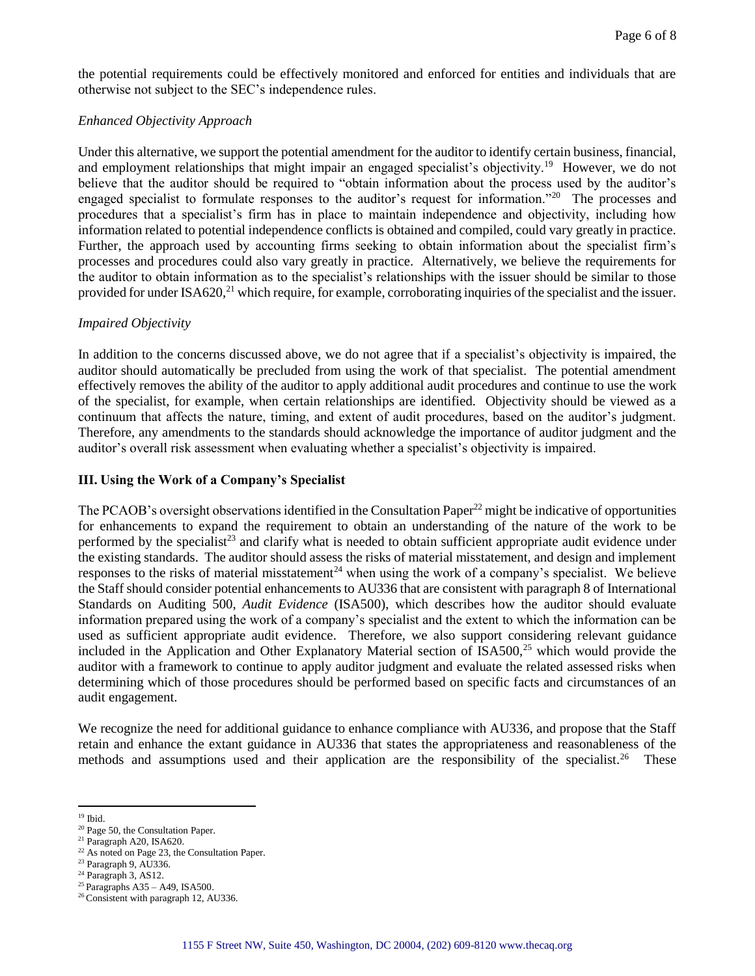the potential requirements could be effectively monitored and enforced for entities and individuals that are otherwise not subject to the SEC's independence rules.

#### *Enhanced Objectivity Approach*

Under this alternative, we support the potential amendment for the auditor to identify certain business, financial, and employment relationships that might impair an engaged specialist's objectivity.<sup>19</sup> However, we do not believe that the auditor should be required to "obtain information about the process used by the auditor's engaged specialist to formulate responses to the auditor's request for information."<sup>20</sup> The processes and procedures that a specialist's firm has in place to maintain independence and objectivity, including how information related to potential independence conflicts is obtained and compiled, could vary greatly in practice. Further, the approach used by accounting firms seeking to obtain information about the specialist firm's processes and procedures could also vary greatly in practice. Alternatively, we believe the requirements for the auditor to obtain information as to the specialist's relationships with the issuer should be similar to those provided for under ISA620,<sup>21</sup> which require, for example, corroborating inquiries of the specialist and the issuer.

# *Impaired Objectivity*

In addition to the concerns discussed above, we do not agree that if a specialist's objectivity is impaired, the auditor should automatically be precluded from using the work of that specialist. The potential amendment effectively removes the ability of the auditor to apply additional audit procedures and continue to use the work of the specialist, for example, when certain relationships are identified. Objectivity should be viewed as a continuum that affects the nature, timing, and extent of audit procedures, based on the auditor's judgment. Therefore, any amendments to the standards should acknowledge the importance of auditor judgment and the auditor's overall risk assessment when evaluating whether a specialist's objectivity is impaired.

#### **III. Using the Work of a Company's Specialist**

The PCAOB's oversight observations identified in the Consultation Paper<sup>22</sup> might be indicative of opportunities for enhancements to expand the requirement to obtain an understanding of the nature of the work to be performed by the specialist<sup>23</sup> and clarify what is needed to obtain sufficient appropriate audit evidence under the existing standards. The auditor should assess the risks of material misstatement, and design and implement responses to the risks of material misstatement<sup>24</sup> when using the work of a company's specialist. We believe the Staff should consider potential enhancements to AU336 that are consistent with paragraph 8 of International Standards on Auditing 500, *Audit Evidence* (ISA500), which describes how the auditor should evaluate information prepared using the work of a company's specialist and the extent to which the information can be used as sufficient appropriate audit evidence. Therefore, we also support considering relevant guidance included in the Application and Other Explanatory Material section of ISA500,<sup>25</sup> which would provide the auditor with a framework to continue to apply auditor judgment and evaluate the related assessed risks when determining which of those procedures should be performed based on specific facts and circumstances of an audit engagement.

We recognize the need for additional guidance to enhance compliance with AU336, and propose that the Staff retain and enhance the extant guidance in AU336 that states the appropriateness and reasonableness of the methods and assumptions used and their application are the responsibility of the specialist.<sup>26</sup> These

<u>.</u>  $^{\rm 19}$  Ibid.

<sup>20</sup> Page 50, the Consultation Paper.

<sup>21</sup> Paragraph A20, ISA620.

<sup>&</sup>lt;sup>22</sup> As noted on Page 23, the Consultation Paper.

<sup>23</sup> Paragraph 9, AU336.

<sup>&</sup>lt;sup>24</sup> Paragraph 3, AS12.

<sup>25</sup> Paragraphs A35 – A49, ISA500.

<sup>26</sup> Consistent with paragraph 12, AU336.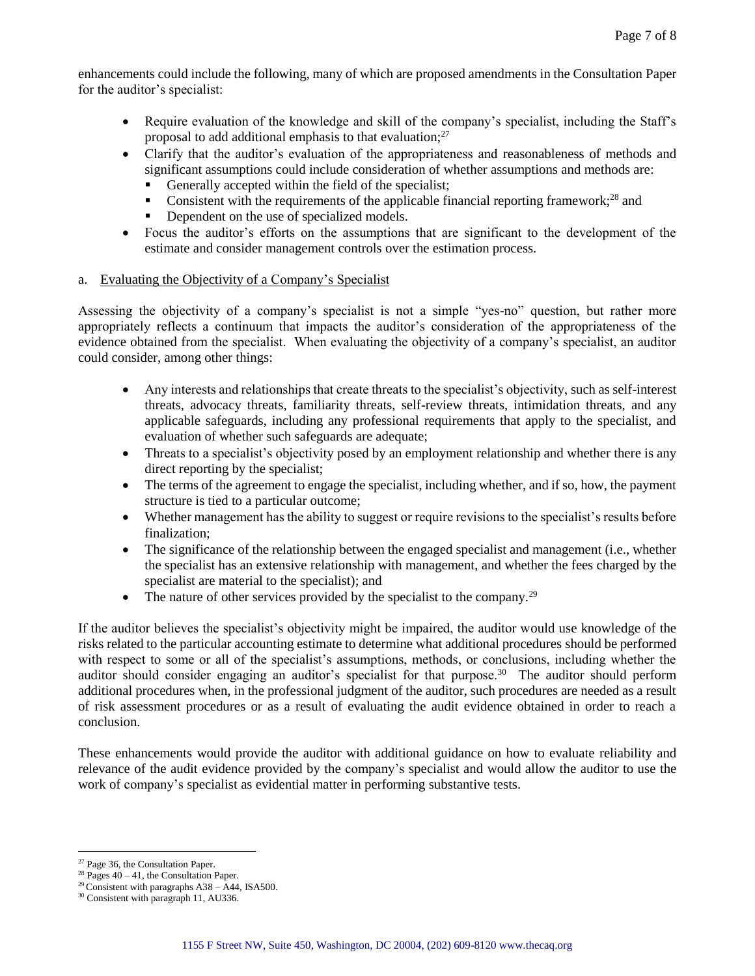enhancements could include the following, many of which are proposed amendments in the Consultation Paper for the auditor's specialist:

- Require evaluation of the knowledge and skill of the company's specialist, including the Staff's proposal to add additional emphasis to that evaluation; $^{27}$
- Clarify that the auditor's evaluation of the appropriateness and reasonableness of methods and significant assumptions could include consideration of whether assumptions and methods are:
	- Generally accepted within the field of the specialist;
	- Consistent with the requirements of the applicable financial reporting framework;<sup>28</sup> and
	- Dependent on the use of specialized models.
- Focus the auditor's efforts on the assumptions that are significant to the development of the estimate and consider management controls over the estimation process.

# a. Evaluating the Objectivity of a Company's Specialist

Assessing the objectivity of a company's specialist is not a simple "yes-no" question, but rather more appropriately reflects a continuum that impacts the auditor's consideration of the appropriateness of the evidence obtained from the specialist. When evaluating the objectivity of a company's specialist, an auditor could consider, among other things:

- Any interests and relationships that create threats to the specialist's objectivity, such as self-interest threats, advocacy threats, familiarity threats, self-review threats, intimidation threats, and any applicable safeguards, including any professional requirements that apply to the specialist, and evaluation of whether such safeguards are adequate;
- Threats to a specialist's objectivity posed by an employment relationship and whether there is any direct reporting by the specialist;
- The terms of the agreement to engage the specialist, including whether, and if so, how, the payment structure is tied to a particular outcome;
- Whether management has the ability to suggest or require revisions to the specialist's results before finalization;
- The significance of the relationship between the engaged specialist and management (i.e., whether the specialist has an extensive relationship with management, and whether the fees charged by the specialist are material to the specialist); and
- The nature of other services provided by the specialist to the company.<sup>29</sup>

If the auditor believes the specialist's objectivity might be impaired, the auditor would use knowledge of the risks related to the particular accounting estimate to determine what additional procedures should be performed with respect to some or all of the specialist's assumptions, methods, or conclusions, including whether the auditor should consider engaging an auditor's specialist for that purpose.<sup>30</sup> The auditor should perform additional procedures when, in the professional judgment of the auditor, such procedures are needed as a result of risk assessment procedures or as a result of evaluating the audit evidence obtained in order to reach a conclusion.

These enhancements would provide the auditor with additional guidance on how to evaluate reliability and relevance of the audit evidence provided by the company's specialist and would allow the auditor to use the work of company's specialist as evidential matter in performing substantive tests.

1

<sup>27</sup> Page 36, the Consultation Paper.

<sup>&</sup>lt;sup>28</sup> Pages  $40 - 41$ , the Consultation Paper.

 $29$  Consistent with paragraphs A38 – A44, ISA500.

<sup>30</sup> Consistent with paragraph 11, AU336.